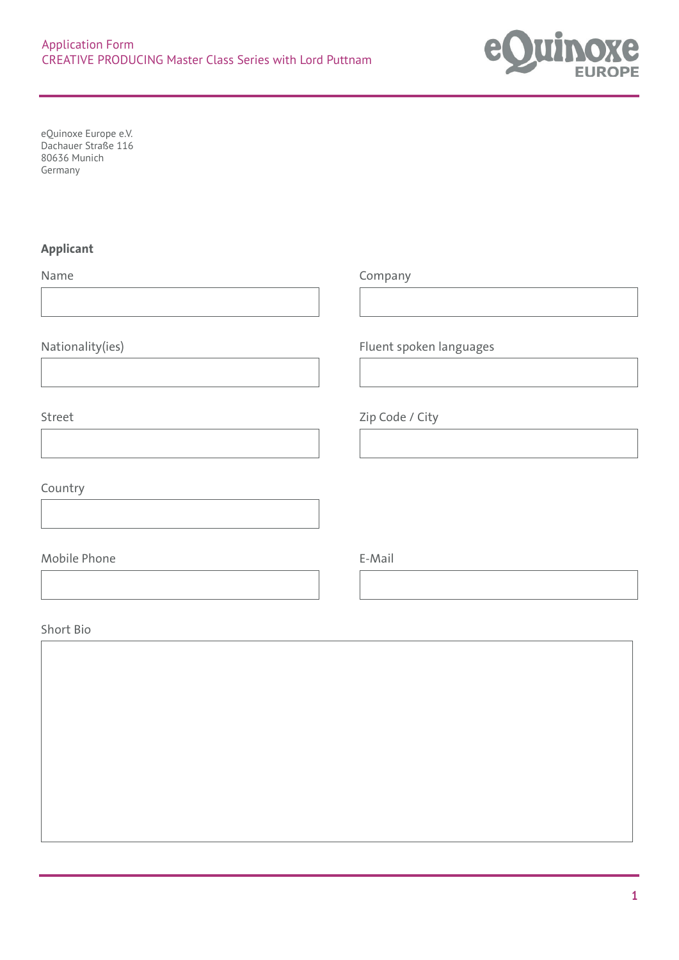

eQuinoxe Europe e.V. Dachauer Straße 116 80636 Munich Germany

## **Applicant**

Name Company Nationality(ies) Fluent spoken languages Street Zip Code / City Country Mobile Phone **E-Mail** Short Bio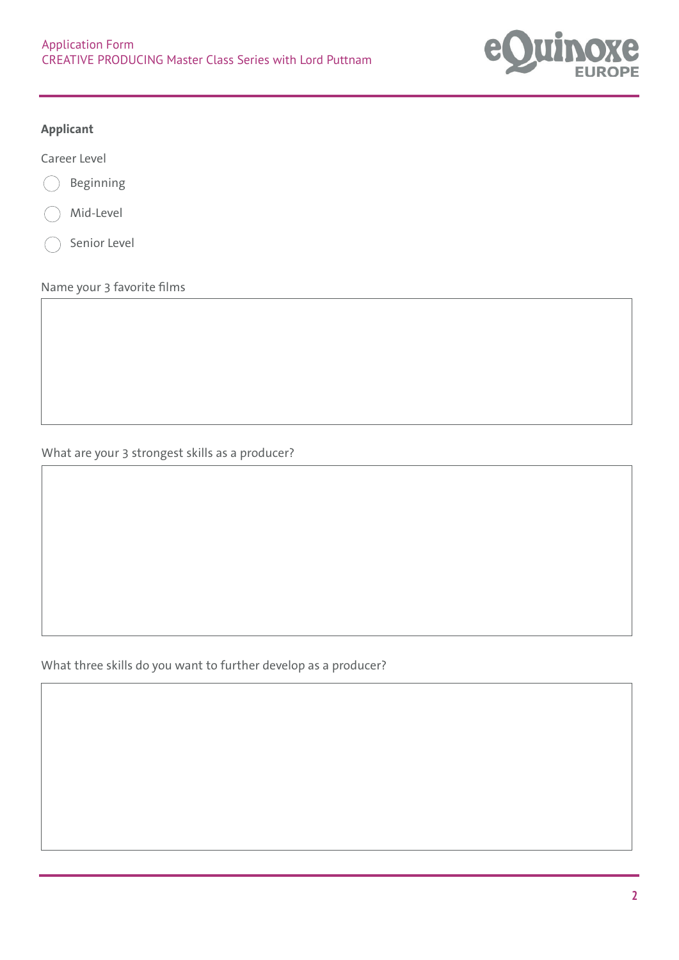

## **Applicant**

Career Level



Mid-Level

Senior Level

Name your 3 favorite films

What are your 3 strongest skills as a producer?

What three skills do you want to further develop as a producer?